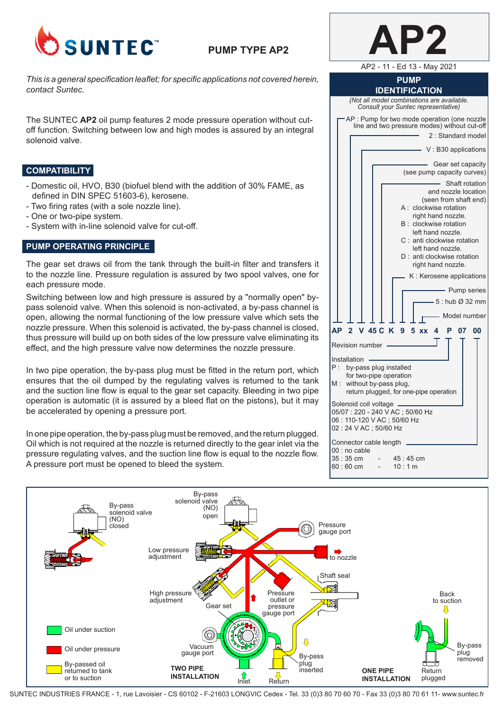

# **PUMP TYPE AP2**

*This is a general specification leaflet; for specific applications not covered herein, contact Suntec.*

The SUNTEC **AP2** oil pump features 2 mode pressure operation without cutoff function. Switching between low and high modes is assured by an integral solenoid valve.

### **COMPATIBILITY**

- Domestic oil, HVO, B30 (biofuel blend with the addition of 30% FAME, as defined in DIN SPEC 51603-6), kerosene.
- Two firing rates (with a sole nozzle line).
- One or two-pipe system.
- System with in-line solenoid valve for cut-off.

# **PUMP OPERATING PRINCIPLE**

The gear set draws oil from the tank through the built-in filter and transfers it to the nozzle line. Pressure regulation is assured by two spool valves, one for each pressure mode.

Switching between low and high pressure is assured by a "normally open" bypass solenoid valve. When this solenoid is non-activated, a by-pass channel is open, allowing the normal functioning of the low pressure valve which sets the nozzle pressure. When this solenoid is activated, the by-pass channel is closed, thus pressure will build up on both sides of the low pressure valve eliminating its effect, and the high pressure valve now determines the nozzle pressure.

In two pipe operation, the by-pass plug must be fitted in the return port, which ensures that the oil dumped by the regulating valves is returned to the tank and the suction line flow is equal to the gear set capacity. Bleeding in two pipe operation is automatic (it is assured by a bleed flat on the pistons), but it may be accelerated by opening a pressure port.

In one pipe operation, the by-pass plug must be removed, and the return plugged. Oil which is not required at the nozzle is returned directly to the gear inlet via the pressure regulating valves, and the suction line flow is equal to the nozzle flow. A pressure port must be opened to bleed the system.

| AP2 - 11 - Ed 13 - May 2021                                                                                                                                                                                                                                                                                                                                            |  |  |  |
|------------------------------------------------------------------------------------------------------------------------------------------------------------------------------------------------------------------------------------------------------------------------------------------------------------------------------------------------------------------------|--|--|--|
| <b>PUMP</b><br><b>IDENTIFICATION</b>                                                                                                                                                                                                                                                                                                                                   |  |  |  |
| (Not all model combinations are available.<br>Consult your Suntec representative)                                                                                                                                                                                                                                                                                      |  |  |  |
| AP : Pump for two mode operation (one nozzle<br>line and two pressure modes) without cut-off                                                                                                                                                                                                                                                                           |  |  |  |
| 2 : Standard model                                                                                                                                                                                                                                                                                                                                                     |  |  |  |
| - V: B30 applications                                                                                                                                                                                                                                                                                                                                                  |  |  |  |
| Gear set capacity<br>(see pump capacity curves)                                                                                                                                                                                                                                                                                                                        |  |  |  |
| Shaft rotation<br>and nozzle location<br>(seen from shaft end)<br>A : clockwise rotation<br>right hand nozzle.<br>clockwise rotation<br>B :<br>left hand nozzle.<br>C: anti clockwise rotation<br>left hand nozzle.<br>D: anti clockwise rotation<br>right hand nozzle.<br>K : Kerosene applications<br>- Pump series<br>$-5:$ hub $\varnothing$ 32 mm<br>Model number |  |  |  |
| <b>AP</b><br>V 45 C<br>K<br>$\overline{2}$<br>9 5 xx 4 P<br>07<br>00                                                                                                                                                                                                                                                                                                   |  |  |  |
| Revision number -                                                                                                                                                                                                                                                                                                                                                      |  |  |  |
| Installation<br>P :<br>by-pass plug installed<br>for two-pipe operation<br>without by-pass plug,<br>M :<br>return plugged, for one-pipe operation                                                                                                                                                                                                                      |  |  |  |
| Solenoid coil voltage<br>05/07: 220 - 240 V AC; 50/60 Hz<br>06: 110-120 V AC; 50/60 Hz<br>02:24 V AC; 50/60 Hz                                                                                                                                                                                                                                                         |  |  |  |
| Connector cable length<br>00 : no cable<br>35:35 cm<br>45:45 cm<br>10:1 m<br>60 : 60 cm                                                                                                                                                                                                                                                                                |  |  |  |

**AP2**



SUNTEC INDUSTRIES FRANCE - 1, rue Lavoisier - CS 60102 - F-21603 LONGVIC Cedex - Tel. 33 (0)3 80 70 60 70 - Fax 33 (0)3 80 70 61 11- www.suntec.fr